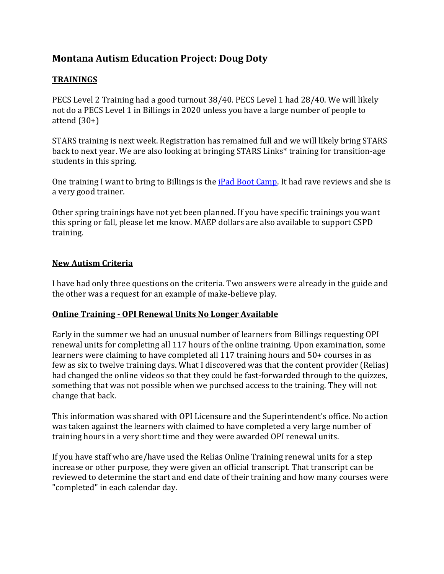# **Montana Autism Education Project: Doug Doty**

## **TRAININGS**

PECS Level 2 Training had a good turnout 38/40. PECS Level 1 had 28/40. We will likely not do a PECS Level 1 in Billings in 2020 unless you have a large number of people to attend  $(30+)$ 

STARS training is next week. Registration has remained full and we will likely bring STARS back to next year. We are also looking at bringing STARS Links\* training for transition-age students in this spring.

One training I want to bring to Billings is the iPad [Boot Camp.](http://mtautism.opiconnect.org/2019/05/ipad-boot-camp-awesome-new-ipad-apps.html) It had rave reviews and she is a very good trainer.

Other spring trainings have not yet been planned. If you have specific trainings you want this spring or fall, please let me know. MAEP dollars are also available to support CSPD training.

## **New Autism Criteria**

I have had only three questions on the criteria. Two answers were already in the guide and the other was a request for an example of make-believe play.

### **Online Training - OPI Renewal Units No Longer Available**

Early in the summer we had an unusual number of learners from Billings requesting OPI renewal units for completing all 117 hours of the online training. Upon examination, some learners were claiming to have completed all 117 training hours and 50+ courses in as few as six to twelve training days. What I discovered was that the content provider (Relias) had changed the online videos so that they could be fast-forwarded through to the quizzes, something that was not possible when we purchsed access to the training. They will not change that back.

This information was shared with OPI Licensure and the Superintendent's office. No action was taken against the learners with claimed to have completed a very large number of training hours in a very short time and they were awarded OPI renewal units.

If you have staff who are/have used the Relias Online Training renewal units for a step increase or other purpose, they were given an official transcript. That transcript can be reviewed to determine the start and end date of their training and how many courses were "completed" in each calendar day.